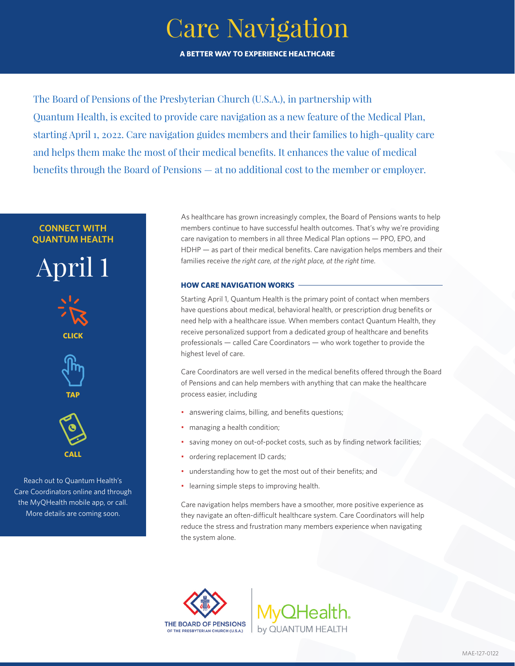## Care Navigation **A BETTER WAY TO EXPERIENCE HEALTHCARE**

The Board of Pensions of the Presbyterian Church (U.S.A.), in partnership with Quantum Health, is excited to provide care navigation as a new feature of the Medical Plan, starting April 1, 2022. Care navigation guides members and their families to high-quality care and helps them make the most of their medical benefits. It enhances the value of medical benefits through the Board of Pensions — at no additional cost to the member or employer.

### **CONNECT WITH QUANTUM HEALTH**

April 1 **CLICK**



**TAP**



Reach out to Quantum Health's Care Coordinators online and through the MyQHealth mobile app, or call. More details are coming soon.

As healthcare has grown increasingly complex, the Board of Pensions wants to help members continue to have successful health outcomes. That's why we're providing care navigation to members in all three Medical Plan options — PPO, EPO, and HDHP — as part of their medical benefits. Care navigation helps members and their families receive *the right care, at the right place, at the right time*.

### **HOW CARE NAVIGATION WORKS**

Starting April 1, Quantum Health is the primary point of contact when members have questions about medical, behavioral health, or prescription drug benefits or need help with a healthcare issue. When members contact Quantum Health, they receive personalized support from a dedicated group of healthcare and benefits professionals — called Care Coordinators — who work together to provide the highest level of care.

Care Coordinators are well versed in the medical benefits offered through the Board of Pensions and can help members with anything that can make the healthcare process easier, including

- answering claims, billing, and benefits questions;
- managing a health condition;
- saving money on out-of-pocket costs, such as by finding network facilities;
- ordering replacement ID cards;
- understanding how to get the most out of their benefits; and
- learning simple steps to improving health.

Care navigation helps members have a smoother, more positive experience as they navigate an often-difficult healthcare system. Care Coordinators will help reduce the stress and frustration many members experience when navigating the system alone.



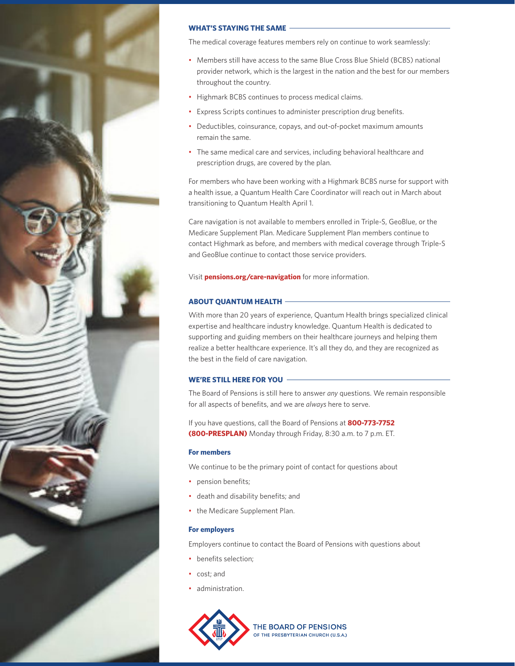

### **WHAT'S STAYING THE SAME**

The medical coverage features members rely on continue to work seamlessly:

- Members still have access to the same Blue Cross Blue Shield (BCBS) national provider network, which is the largest in the nation and the best for our members throughout the country.
- Highmark BCBS continues to process medical claims.
- Express Scripts continues to administer prescription drug benefits.
- Deductibles, coinsurance, copays, and out-of-pocket maximum amounts remain the same.
- The same medical care and services, including behavioral healthcare and prescription drugs, are covered by the plan.

For members who have been working with a Highmark BCBS nurse for support with a health issue, a Quantum Health Care Coordinator will reach out in March about transitioning to Quantum Health April 1.

Care navigation is not available to members enrolled in Triple-S, GeoBlue, or the Medicare Supplement Plan. Medicare Supplement Plan members continue to contact Highmark as before, and members with medical coverage through Triple-S and GeoBlue continue to contact those service providers.

Visit **pensions.org/care-navigation** for more information.

### **ABOUT QUANTUM HEALTH**

With more than 20 years of experience, Quantum Health brings specialized clinical expertise and healthcare industry knowledge. Quantum Health is dedicated to supporting and guiding members on their healthcare journeys and helping them realize a better healthcare experience. It's all they do, and they are recognized as the best in the field of care navigation.

### **WE'RE STILL HERE FOR YOU**

The Board of Pensions is still here to answer *any* questions. We remain responsible for all aspects of benefits, and we are *always* here to serve.

If you have questions, call the Board of Pensions at **800-773-7752 (800-PRESPLAN)** Monday through Friday, 8:30 a.m. to 7 p.m. ET.

### **For members**

We continue to be the primary point of contact for questions about

- pension benefits;
- death and disability benefits; and
- the Medicare Supplement Plan.

### **For employers**

Employers continue to contact the Board of Pensions with questions about

- benefits selection;
- cost; and
- administration.

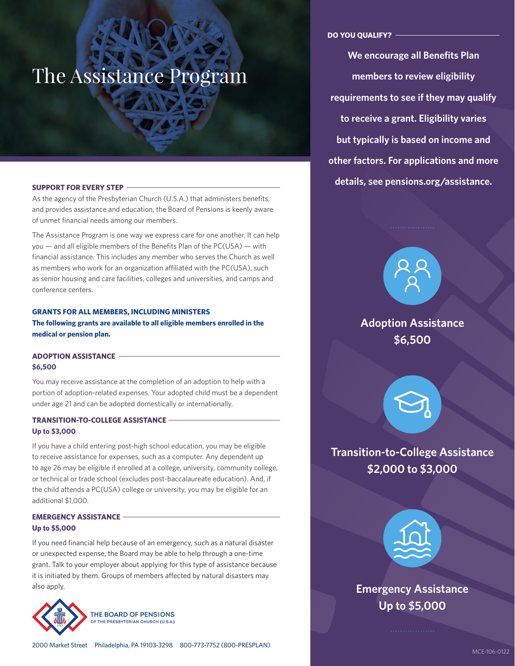# The Assistance Program

As the agency of the Presbyterian Church (U.S.A.) that administers benefits, and provides assistance and education, the Board of Pensions is keenly aware of unmet financial needs among our members.

The Assistance Program is one way we express care for one another. It can help you — and all eligible members of the Benefits Plan of the PC(USA) — with financial assistance. This includes any member who serves the Church as well as members who work for an organization affiliated with the PC(USA), such as senior housing and care facilities, colleges and universities, and camps and conference centers.

### **GRANTS FOR ALL MEMBERS, INCLUDING MINISTERS**

**The following grants are available to all eligible members enrolled in the medical or pension plan.**

### **ADOPTION ASSISTANCE \$6,500**

You may receive assistance at the completion of an adoption to help with a portion of adoption-related expenses. Your adopted child must be a dependent under age 21 and can be adopted domestically or internationally.

### **TRANSITION-TO-COLLEGE ASSISTANCE Up to \$3,000**

If you have a child entering post-high school education, you may be eligible to receive assistance for expenses, such as a computer. Any dependent up to age 26 may be eligible if enrolled at a college, university, community college, or technical or trade school (excludes post-baccalaureate education). And, if the child attends a PC(USA) college or university, you may be eligible for an additional \$1,000.

### **EMERGENCY ASSISTANCE Up to \$5,000**

If you need financial help because of an emergency, such as a natural disaster or unexpected expense, the Board may be able to help through a one-time grant. Talk to your employer about applying for this type of assistance because it is initiated by them. Groups of members affected by natural disasters may also apply.



THE BOARD OF PENSIONS OF THE PRESBYTERIAN CHURCH (U.S.A.)

**We encourage all Benefits Plan members to review eligibility requirements to see if they may qualify to receive a grant. Eligibility varies but typically is based on income and other factors. For applications and more details, see pensions.org/assistance. SUPPORT FOR EVERY STEP**



### **Adoption Assistance \$6,500**



**Transition-to-College Assistance \$2,000 to \$3,000**



**Emergency Assistance Up to \$5,000**